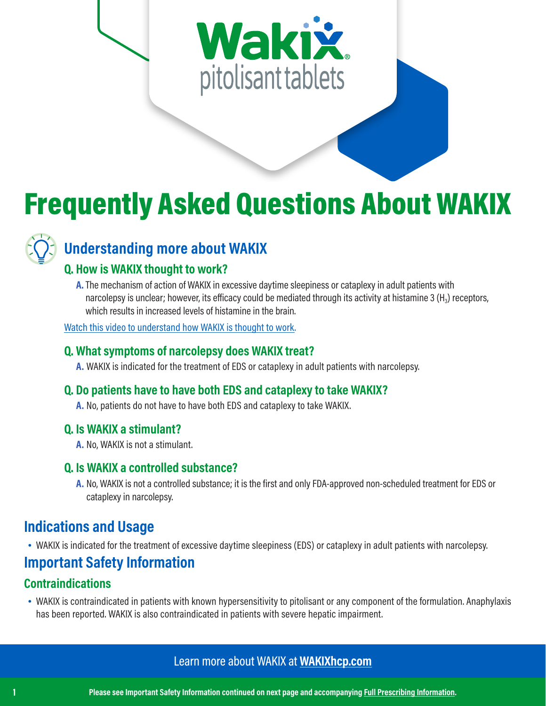# Wakix pitolisant tablets

## Frequently Asked Questions About WAKIX



## **Understanding more about WAKIX**

## **Q. How is WAKIX thought to work?**

**A.**The mechanism of action of WAKIX in excessive daytime sleepiness or cataplexy in adult patients with narcolepsy is unclear; however, its efficacy could be mediated through its activity at histamine 3  $(H<sub>3</sub>)$  receptors, which results in increased levels of histamine in the brain.

[Watch this video to understand how WAKIX is thought to work.](https://wakixhcp.com/mechanism-of-action/)

#### **Q. What symptoms of narcolepsy does WAKIX treat?**

**A.** WAKIX is indicated for the treatment of EDS or cataplexy in adult patients with narcolepsy.

## **Q. Do patients have to have both EDS and cataplexy to take WAKIX?**

**A.** No, patients do not have to have both EDS and cataplexy to take WAKIX.

#### **Q. Is WAKIX a stimulant?**

**A.** No, WAKIX is not a stimulant.

## **Q. Is WAKIX a controlled substance?**

**A.** No, WAKIX is not a controlled substance; it is the first and only FDA-approved non-scheduled treatment for EDS or cataplexy in narcolepsy.

## **Indications and Usage**

• WAKIX is indicated for the treatment of excessive daytime sleepiness (EDS) or cataplexy in adult patients with narcolepsy.

## **Important Safety Information**

## **Contraindications**

• WAKIX is contraindicated in patients with known hypersensitivity to pitolisant or any component of the formulation. Anaphylaxis has been reported. WAKIX is also contraindicated in patients with severe hepatic impairment.

## Learn more about WAKIX at **[WAKIXhcp.com](https://wakixhcp.com)**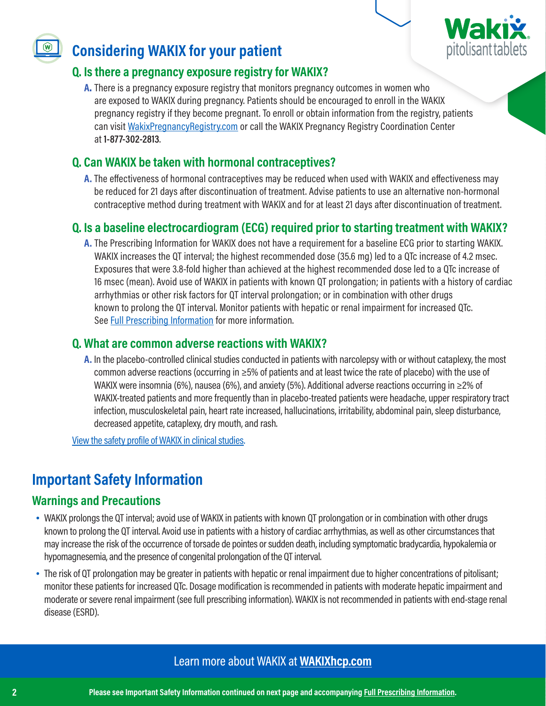

## **Considering WAKIX for your patient**

## **Q. Is there a pregnancy exposure registry for WAKIX?**

**A.** There is a pregnancy exposure registry that monitors pregnancy outcomes in women who are exposed to WAKIX during pregnancy. Patients should be encouraged to enroll in the WAKIX pregnancy registry if they become pregnant. To enroll or obtain information from the registry, patients can visit [WakixPregnancyRegistry.com](https://wakixpregnancyregistry.com) or call the WAKIX Pregnancy Registry Coordination Center at **1-877-302-2813**.

## **Q. Can WAKIX be taken with hormonal contraceptives?**

**A.** The effectiveness of hormonal contraceptives may be reduced when used with WAKIX and effectiveness may be reduced for 21 days after discontinuation of treatment. Advise patients to use an alternative non-hormonal contraceptive method during treatment with WAKIX and for at least 21 days after discontinuation of treatment.

## **Q. Is a baseline electrocardiogram (ECG) required prior to starting treatment with WAKIX?**

**A.** The Prescribing Information for WAKIX does not have a requirement for a baseline ECG prior to starting WAKIX. WAKIX increases the QT interval; the highest recommended dose (35.6 mg) led to a QTc increase of 4.2 msec. Exposures that were 3.8-fold higher than achieved at the highest recommended dose led to a QTc increase of 16 msec (mean). Avoid use of WAKIX in patients with known QT prolongation; in patients with a history of cardiac arrhythmias or other risk factors for QT interval prolongation; or in combination with other drugs known to prolong the QT interval. Monitor patients with hepatic or renal impairment for increased QTc. See [Full Prescribing Information](http://wakixhcp.com/prescribing-information) for more information.

#### **Q. What are common adverse reactions with WAKIX?**

**A.** In the placebo-controlled clinical studies conducted in patients with narcolepsy with or without cataplexy, the most common adverse reactions (occurring in ≥5% of patients and at least twice the rate of placebo) with the use of WAKIX were insomnia (6%), nausea (6%), and anxiety (5%). Additional adverse reactions occurring in ≥2% of WAKIX-treated patients and more frequently than in placebo-treated patients were headache, upper respiratory tract infection, musculoskeletal pain, heart rate increased, hallucinations, irritability, abdominal pain, sleep disturbance, decreased appetite, cataplexy, dry mouth, and rash.

[View the safety profile of WAKIX in clinical studies.](https://wakixhcp.com/safety/)

## **Important Safety Information**

## **Warnings and Precautions**

- WAKIX prolongs the QT interval; avoid use of WAKIX in patients with known QT prolongation or in combination with other drugs known to prolong the QT interval. Avoid use in patients with a history of cardiac arrhythmias, as well as other circumstances that may increase the risk of the occurrence of torsade de pointes or sudden death, including symptomatic bradycardia, hypokalemia or hypomagnesemia, and the presence of congenital prolongation of the QT interval.
- The risk of QT prolongation may be greater in patients with hepatic or renal impairment due to higher concentrations of pitolisant; monitor these patients for increased QTc. Dosage modification is recommended in patients with moderate hepatic impairment and moderate or severe renal impairment (see full prescribing information). WAKIX is not recommended in patients with end-stage renal disease (ESRD).

## Learn more about WAKIX at **[WAKIXhcp.com](https://wakixhcp.com)**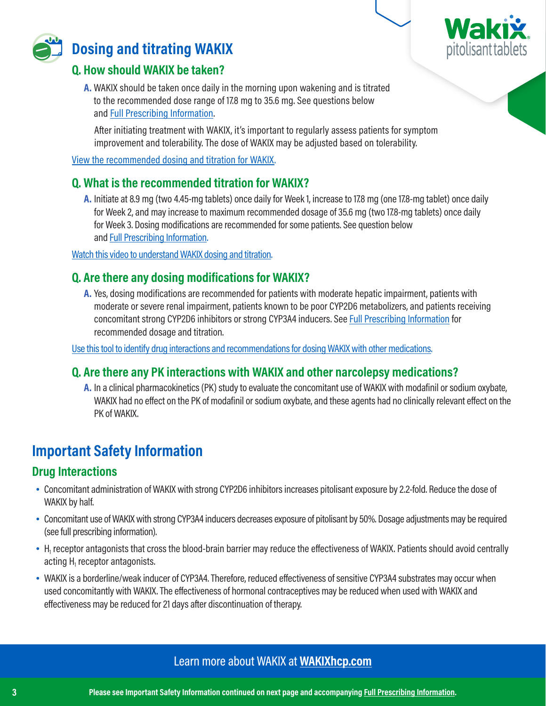



## **Dosing and titrating WAKIX**

## **Q. How should WAKIX be taken?**

**A.** WAKIX should be taken once daily in the morning upon wakening and is titrated to the recommended dose range of 17.8 mg to 35.6 mg. See questions below and [Full Prescribing Information.](http://wakixhcp.com/prescribing-information)

After initiating treatment with WAKIX, it's important to regularly assess patients for symptom improvement and tolerability. The dose of WAKIX may be adjusted based on tolerability.

[View the recommended dosing and titration for WAKIX.](https://wakixhcp.com/dosing/)

## **Q. What is the recommended titration for WAKIX?**

**A.** Initiate at 8.9 mg (two 4.45-mg tablets) once daily for Week 1, increase to 17.8 mg (one 17.8-mg tablet) once daily for Week 2, and may increase to maximum recommended dosage of 35.6 mg (two 17.8-mg tablets) once daily for Week 3. Dosing modifications are recommended for some patients. See question below and [Full Prescribing Information.](http://wakixhcp.com/prescribing-information)

[Watch this video to understand WAKIX dosing and titration.](https://wakixhcp.com/dosing/)

## **Q. Are there any dosing modifications for WAKIX?**

**A.** Yes, dosing modifications are recommended for patients with moderate hepatic impairment, patients with moderate or severe renal impairment, patients known to be poor CYP2D6 metabolizers, and patients receiving concomitant strong CYP2D6 inhibitors or strong CYP3A4 inducers. See [Full Prescribing Information f](http://wakixhcp.com/prescribing-information)or recommended dosage and titration.

[Use this tool to identify drug interactions and recommendations for dosing WAKIX with other medications.](https://tools.wakixhcp.com/ddi)

## **Q. Are there any PK interactions with WAKIX and other narcolepsy medications?**

**A.** In a clinical pharmacokinetics (PK) study to evaluate the concomitant use of WAKIX with modafinil or sodium oxybate, WAKIX had no effect on the PK of modafinil or sodium oxybate, and these agents had no clinically relevant effect on the PK of WAKIX.

## **Important Safety Information**

## **Drug Interactions**

- Concomitant administration of WAKIX with strong CYP2D6 inhibitors increases pitolisant exposure by 2.2-fold. Reduce the dose of WAKIX by half.
- Concomitant use of WAKIX with strong CYP3A4 inducers decreases exposure of pitolisant by 50%. Dosage adjustments may be required (see full prescribing information).
- H<sub>1</sub> receptor antagonists that cross the blood-brain barrier may reduce the effectiveness of WAKIX. Patients should avoid centrally acting  $\mathsf{H}_{1}$  receptor antagonists.
- WAKIX is a borderline/weak inducer of CYP3A4. Therefore, reduced effectiveness of sensitive CYP3A4 substrates may occur when used concomitantly with WAKIX. The effectiveness of hormonal contraceptives may be reduced when used with WAKIX and effectiveness may be reduced for 21 days after discontinuation of therapy.

## Learn more about WAKIX at **[WAKIXhcp.com](https://wakixhcp.com)**